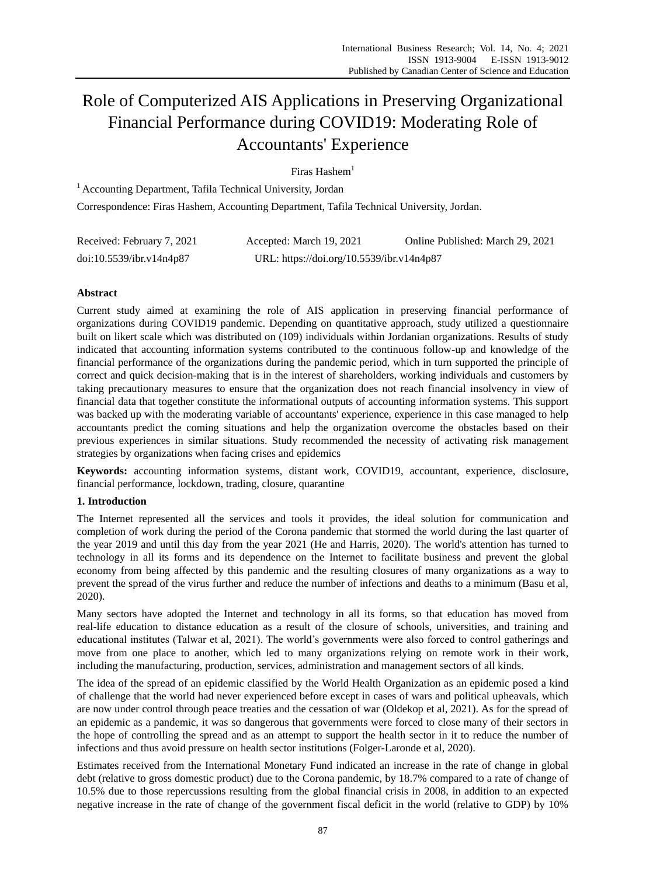# Role of Computerized AIS Applications in Preserving Organizational Financial Performance during COVID19: Moderating Role of Accountants' Experience

# Firas  $H$ ashem<sup>1</sup>

<sup>1</sup> Accounting Department, Tafila Technical University, Jordan Correspondence: Firas Hashem, Accounting Department, Tafila Technical University, Jordan.

| Received: February 7, 2021 | Accepted: March 19, 2021                  | Online Published: March 29, 2021 |
|----------------------------|-------------------------------------------|----------------------------------|
| doi:10.5539/ibr.v14n4p87   | URL: https://doi.org/10.5539/ibr.v14n4p87 |                                  |

# **Abstract**

Current study aimed at examining the role of AIS application in preserving financial performance of organizations during COVID19 pandemic. Depending on quantitative approach, study utilized a questionnaire built on likert scale which was distributed on (109) individuals within Jordanian organizations. Results of study indicated that accounting information systems contributed to the continuous follow-up and knowledge of the financial performance of the organizations during the pandemic period, which in turn supported the principle of correct and quick decision-making that is in the interest of shareholders, working individuals and customers by taking precautionary measures to ensure that the organization does not reach financial insolvency in view of financial data that together constitute the informational outputs of accounting information systems. This support was backed up with the moderating variable of accountants' experience, experience in this case managed to help accountants predict the coming situations and help the organization overcome the obstacles based on their previous experiences in similar situations. Study recommended the necessity of activating risk management strategies by organizations when facing crises and epidemics

**Keywords:** accounting information systems, distant work, COVID19, accountant, experience, disclosure, financial performance, lockdown, trading, closure, quarantine

### **1. Introduction**

The Internet represented all the services and tools it provides, the ideal solution for communication and completion of work during the period of the Corona pandemic that stormed the world during the last quarter of the year 2019 and until this day from the year 2021 (He and Harris, 2020). The world's attention has turned to technology in all its forms and its dependence on the Internet to facilitate business and prevent the global economy from being affected by this pandemic and the resulting closures of many organizations as a way to prevent the spread of the virus further and reduce the number of infections and deaths to a minimum (Basu et al, 2020).

Many sectors have adopted the Internet and technology in all its forms, so that education has moved from real-life education to distance education as a result of the closure of schools, universities, and training and educational institutes (Talwar et al, 2021). The world's governments were also forced to control gatherings and move from one place to another, which led to many organizations relying on remote work in their work, including the manufacturing, production, services, administration and management sectors of all kinds.

The idea of the spread of an epidemic classified by the World Health Organization as an epidemic posed a kind of challenge that the world had never experienced before except in cases of wars and political upheavals, which are now under control through peace treaties and the cessation of war (Oldekop et al, 2021). As for the spread of an epidemic as a pandemic, it was so dangerous that governments were forced to close many of their sectors in the hope of controlling the spread and as an attempt to support the health sector in it to reduce the number of infections and thus avoid pressure on health sector institutions (Folger-Laronde et al, 2020).

Estimates received from the International Monetary Fund indicated an increase in the rate of change in global debt (relative to gross domestic product) due to the Corona pandemic, by 18.7% compared to a rate of change of 10.5% due to those repercussions resulting from the global financial crisis in 2008, in addition to an expected negative increase in the rate of change of the government fiscal deficit in the world (relative to GDP) by 10%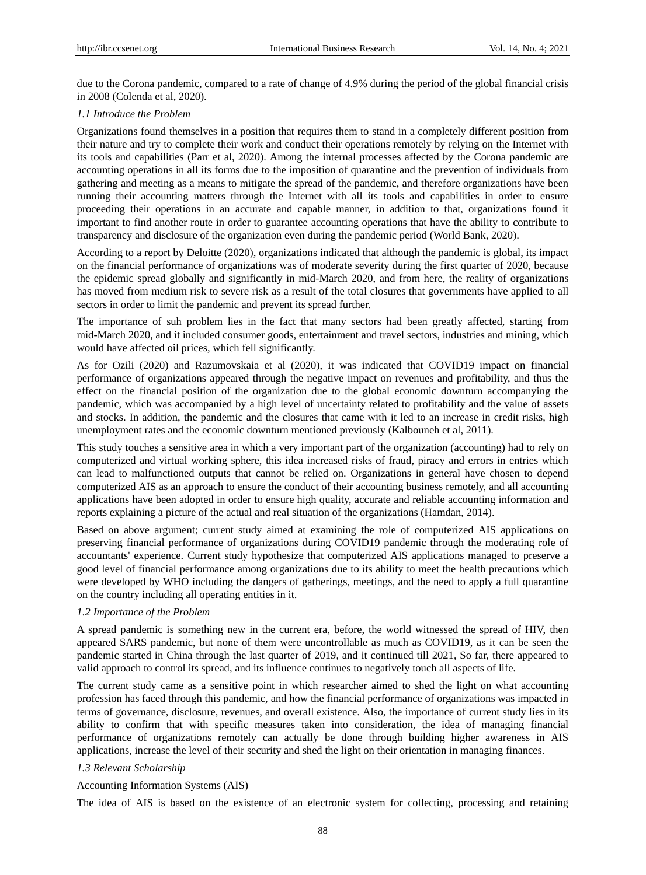due to the Corona pandemic, compared to a rate of change of 4.9% during the period of the global financial crisis in 2008 (Colenda et al, 2020).

### *1.1 Introduce the Problem*

Organizations found themselves in a position that requires them to stand in a completely different position from their nature and try to complete their work and conduct their operations remotely by relying on the Internet with its tools and capabilities (Parr et al, 2020). Among the internal processes affected by the Corona pandemic are accounting operations in all its forms due to the imposition of quarantine and the prevention of individuals from gathering and meeting as a means to mitigate the spread of the pandemic, and therefore organizations have been running their accounting matters through the Internet with all its tools and capabilities in order to ensure proceeding their operations in an accurate and capable manner, in addition to that, organizations found it important to find another route in order to guarantee accounting operations that have the ability to contribute to transparency and disclosure of the organization even during the pandemic period (World Bank, 2020).

According to a report by Deloitte (2020), organizations indicated that although the pandemic is global, its impact on the financial performance of organizations was of moderate severity during the first quarter of 2020, because the epidemic spread globally and significantly in mid-March 2020, and from here, the reality of organizations has moved from medium risk to severe risk as a result of the total closures that governments have applied to all sectors in order to limit the pandemic and prevent its spread further.

The importance of suh problem lies in the fact that many sectors had been greatly affected, starting from mid-March 2020, and it included consumer goods, entertainment and travel sectors, industries and mining, which would have affected oil prices, which fell significantly.

As for Ozili (2020) and Razumovskaia et al (2020), it was indicated that COVID19 impact on financial performance of organizations appeared through the negative impact on revenues and profitability, and thus the effect on the financial position of the organization due to the global economic downturn accompanying the pandemic, which was accompanied by a high level of uncertainty related to profitability and the value of assets and stocks. In addition, the pandemic and the closures that came with it led to an increase in credit risks, high unemployment rates and the economic downturn mentioned previously (Kalbouneh et al, 2011).

This study touches a sensitive area in which a very important part of the organization (accounting) had to rely on computerized and virtual working sphere, this idea increased risks of fraud, piracy and errors in entries which can lead to malfunctioned outputs that cannot be relied on. Organizations in general have chosen to depend computerized AIS as an approach to ensure the conduct of their accounting business remotely, and all accounting applications have been adopted in order to ensure high quality, accurate and reliable accounting information and reports explaining a picture of the actual and real situation of the organizations (Hamdan, 2014).

Based on above argument; current study aimed at examining the role of computerized AIS applications on preserving financial performance of organizations during COVID19 pandemic through the moderating role of accountants' experience. Current study hypothesize that computerized AIS applications managed to preserve a good level of financial performance among organizations due to its ability to meet the health precautions which were developed by WHO including the dangers of gatherings, meetings, and the need to apply a full quarantine on the country including all operating entities in it.

### *1.2 Importance of the Problem*

A spread pandemic is something new in the current era, before, the world witnessed the spread of HIV, then appeared SARS pandemic, but none of them were uncontrollable as much as COVID19, as it can be seen the pandemic started in China through the last quarter of 2019, and it continued till 2021, So far, there appeared to valid approach to control its spread, and its influence continues to negatively touch all aspects of life.

The current study came as a sensitive point in which researcher aimed to shed the light on what accounting profession has faced through this pandemic, and how the financial performance of organizations was impacted in terms of governance, disclosure, revenues, and overall existence. Also, the importance of current study lies in its ability to confirm that with specific measures taken into consideration, the idea of managing financial performance of organizations remotely can actually be done through building higher awareness in AIS applications, increase the level of their security and shed the light on their orientation in managing finances.

### *1.3 Relevant Scholarship*

### Accounting Information Systems (AIS)

The idea of AIS is based on the existence of an electronic system for collecting, processing and retaining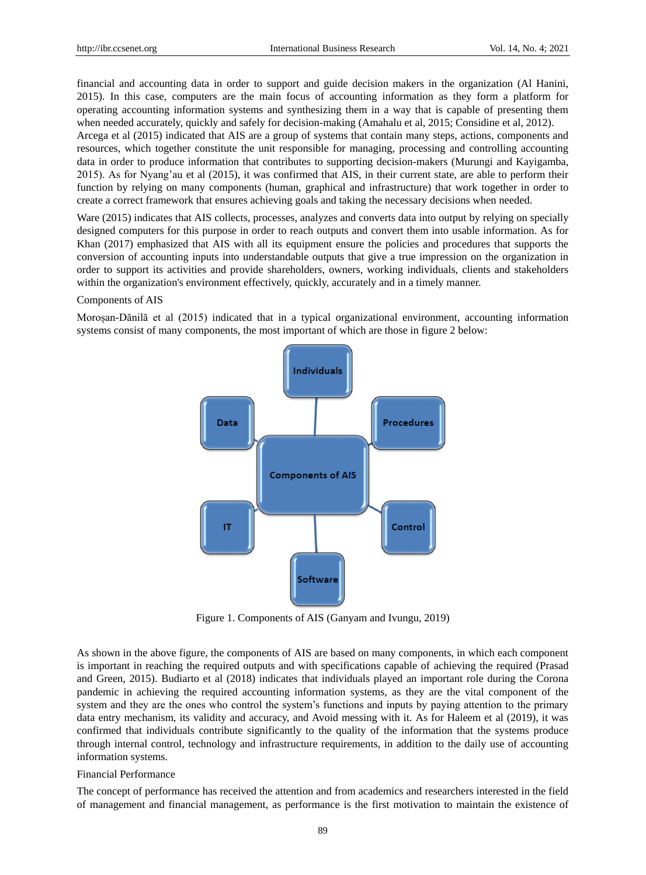financial and accounting data in order to support and guide decision makers in the organization (Al Hanini, 2015). In this case, computers are the main focus of accounting information as they form a platform for operating accounting information systems and synthesizing them in a way that is capable of presenting them when needed accurately, quickly and safely for decision-making (Amahalu et al, 2015; Considine et al, 2012).

Arcega et al (2015) indicated that AIS are a group of systems that contain many steps, actions, components and resources, which together constitute the unit responsible for managing, processing and controlling accounting data in order to produce information that contributes to supporting decision-makers (Murungi and Kayigamba, 2015). As for Nyang'au et al (2015), it was confirmed that AIS, in their current state, are able to perform their function by relying on many components (human, graphical and infrastructure) that work together in order to create a correct framework that ensures achieving goals and taking the necessary decisions when needed.

Ware (2015) indicates that AIS collects, processes, analyzes and converts data into output by relying on specially designed computers for this purpose in order to reach outputs and convert them into usable information. As for Khan (2017) emphasized that AIS with all its equipment ensure the policies and procedures that supports the conversion of accounting inputs into understandable outputs that give a true impression on the organization in order to support its activities and provide shareholders, owners, working individuals, clients and stakeholders within the organization's environment effectively, quickly, accurately and in a timely manner.

### Components of AIS

Moroșan-Dănilă et al (2015) indicated that in a typical organizational environment, accounting information systems consist of many components, the most important of which are those in figure 2 below:



Figure 1. Components of AIS (Ganyam and Ivungu, 2019)

As shown in the above figure, the components of AIS are based on many components, in which each component is important in reaching the required outputs and with specifications capable of achieving the required (Prasad and Green, 2015). Budiarto et al (2018) indicates that individuals played an important role during the Corona pandemic in achieving the required accounting information systems, as they are the vital component of the system and they are the ones who control the system's functions and inputs by paying attention to the primary data entry mechanism, its validity and accuracy, and Avoid messing with it. As for Haleem et al (2019), it was confirmed that individuals contribute significantly to the quality of the information that the systems produce through internal control, technology and infrastructure requirements, in addition to the daily use of accounting information systems.

### Financial Performance

The concept of performance has received the attention and from academics and researchers interested in the field of management and financial management, as performance is the first motivation to maintain the existence of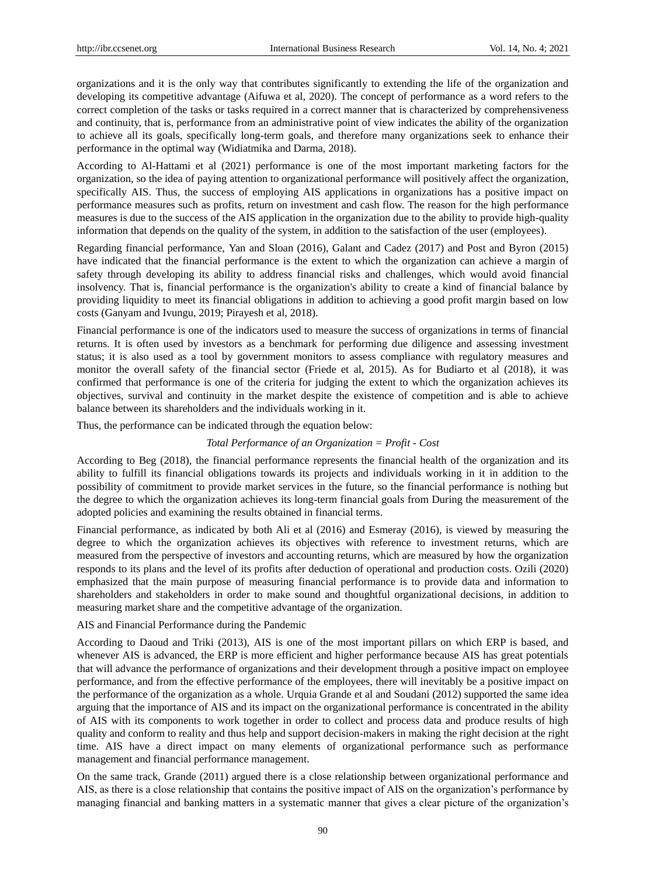organizations and it is the only way that contributes significantly to extending the life of the organization and developing its competitive advantage (Aifuwa et al, 2020). The concept of performance as a word refers to the correct completion of the tasks or tasks required in a correct manner that is characterized by comprehensiveness and continuity, that is, performance from an administrative point of view indicates the ability of the organization to achieve all its goals, specifically long-term goals, and therefore many organizations seek to enhance their performance in the optimal way (Widiatmika and Darma, 2018).

According to Al-Hattami et al (2021) performance is one of the most important marketing factors for the organization, so the idea of paying attention to organizational performance will positively affect the organization, specifically AIS. Thus, the success of employing AIS applications in organizations has a positive impact on performance measures such as profits, return on investment and cash flow. The reason for the high performance measures is due to the success of the AIS application in the organization due to the ability to provide high-quality information that depends on the quality of the system, in addition to the satisfaction of the user (employees).

Regarding financial performance, Yan and Sloan (2016), Galant and Cadez (2017) and Post and Byron (2015) have indicated that the financial performance is the extent to which the organization can achieve a margin of safety through developing its ability to address financial risks and challenges, which would avoid financial insolvency. That is, financial performance is the organization's ability to create a kind of financial balance by providing liquidity to meet its financial obligations in addition to achieving a good profit margin based on low costs (Ganyam and Ivungu, 2019; Pirayesh et al, 2018).

Financial performance is one of the indicators used to measure the success of organizations in terms of financial returns. It is often used by investors as a benchmark for performing due diligence and assessing investment status; it is also used as a tool by government monitors to assess compliance with regulatory measures and monitor the overall safety of the financial sector (Friede et al, 2015). As for Budiarto et al (2018), it was confirmed that performance is one of the criteria for judging the extent to which the organization achieves its objectives, survival and continuity in the market despite the existence of competition and is able to achieve balance between its shareholders and the individuals working in it.

Thus, the performance can be indicated through the equation below:

### *Total Performance of an Organization = Profit - Cost*

According to Beg (2018), the financial performance represents the financial health of the organization and its ability to fulfill its financial obligations towards its projects and individuals working in it in addition to the possibility of commitment to provide market services in the future, so the financial performance is nothing but the degree to which the organization achieves its long-term financial goals from During the measurement of the adopted policies and examining the results obtained in financial terms.

Financial performance, as indicated by both Ali et al (2016) and Esmeray (2016), is viewed by measuring the degree to which the organization achieves its objectives with reference to investment returns, which are measured from the perspective of investors and accounting returns, which are measured by how the organization responds to its plans and the level of its profits after deduction of operational and production costs. Ozili (2020) emphasized that the main purpose of measuring financial performance is to provide data and information to shareholders and stakeholders in order to make sound and thoughtful organizational decisions, in addition to measuring market share and the competitive advantage of the organization.

AIS and Financial Performance during the Pandemic

According to Daoud and Triki (2013), AIS is one of the most important pillars on which ERP is based, and whenever AIS is advanced, the ERP is more efficient and higher performance because AIS has great potentials that will advance the performance of organizations and their development through a positive impact on employee performance, and from the effective performance of the employees, there will inevitably be a positive impact on the performance of the organization as a whole. Urquia Grande et al and Soudani (2012) supported the same idea arguing that the importance of AIS and its impact on the organizational performance is concentrated in the ability of AIS with its components to work together in order to collect and process data and produce results of high quality and conform to reality and thus help and support decision-makers in making the right decision at the right time. AIS have a direct impact on many elements of organizational performance such as performance management and financial performance management.

On the same track, Grande (2011) argued there is a close relationship between organizational performance and AIS, as there is a close relationship that contains the positive impact of AIS on the organization's performance by managing financial and banking matters in a systematic manner that gives a clear picture of the organization's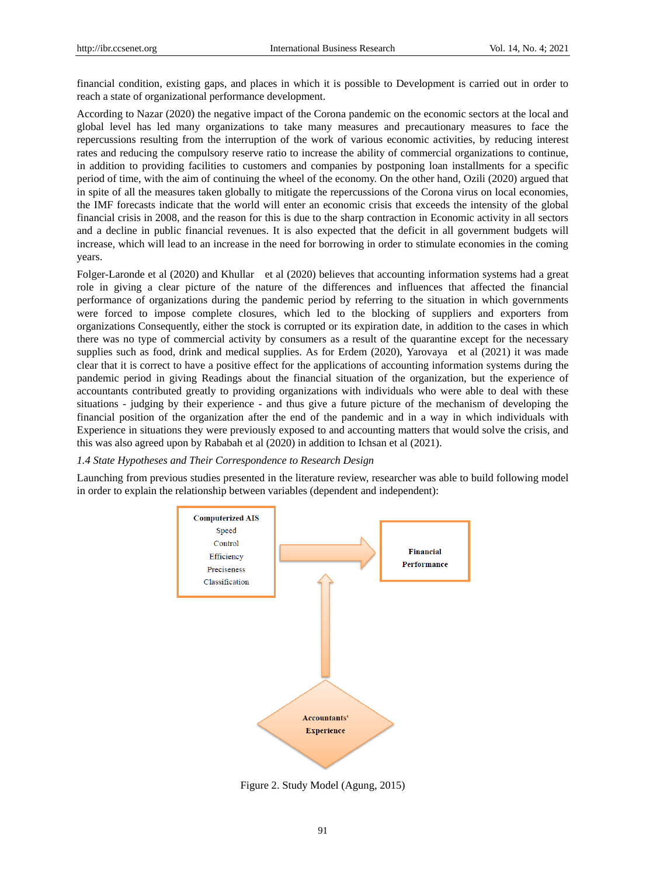financial condition, existing gaps, and places in which it is possible to Development is carried out in order to reach a state of organizational performance development.

According to Nazar (2020) the negative impact of the Corona pandemic on the economic sectors at the local and global level has led many organizations to take many measures and precautionary measures to face the repercussions resulting from the interruption of the work of various economic activities, by reducing interest rates and reducing the compulsory reserve ratio to increase the ability of commercial organizations to continue, in addition to providing facilities to customers and companies by postponing loan installments for a specific period of time, with the aim of continuing the wheel of the economy. On the other hand, Ozili (2020) argued that in spite of all the measures taken globally to mitigate the repercussions of the Corona virus on local economies, the IMF forecasts indicate that the world will enter an economic crisis that exceeds the intensity of the global financial crisis in 2008, and the reason for this is due to the sharp contraction in Economic activity in all sectors and a decline in public financial revenues. It is also expected that the deficit in all government budgets will increase, which will lead to an increase in the need for borrowing in order to stimulate economies in the coming years.

Folger-Laronde et al (2020) and Khullar et al (2020) believes that accounting information systems had a great role in giving a clear picture of the nature of the differences and influences that affected the financial performance of organizations during the pandemic period by referring to the situation in which governments were forced to impose complete closures, which led to the blocking of suppliers and exporters from organizations Consequently, either the stock is corrupted or its expiration date, in addition to the cases in which there was no type of commercial activity by consumers as a result of the quarantine except for the necessary supplies such as food, drink and medical supplies. As for Erdem (2020), Yarovaya et al (2021) it was made clear that it is correct to have a positive effect for the applications of accounting information systems during the pandemic period in giving Readings about the financial situation of the organization, but the experience of accountants contributed greatly to providing organizations with individuals who were able to deal with these situations - judging by their experience - and thus give a future picture of the mechanism of developing the financial position of the organization after the end of the pandemic and in a way in which individuals with Experience in situations they were previously exposed to and accounting matters that would solve the crisis, and this was also agreed upon by Rababah et al (2020) in addition to Ichsan et al (2021).

#### *1.4 State Hypotheses and Their Correspondence to Research Design*

Launching from previous studies presented in the literature review, researcher was able to build following model in order to explain the relationship between variables (dependent and independent):



Figure 2. Study Model (Agung, 2015)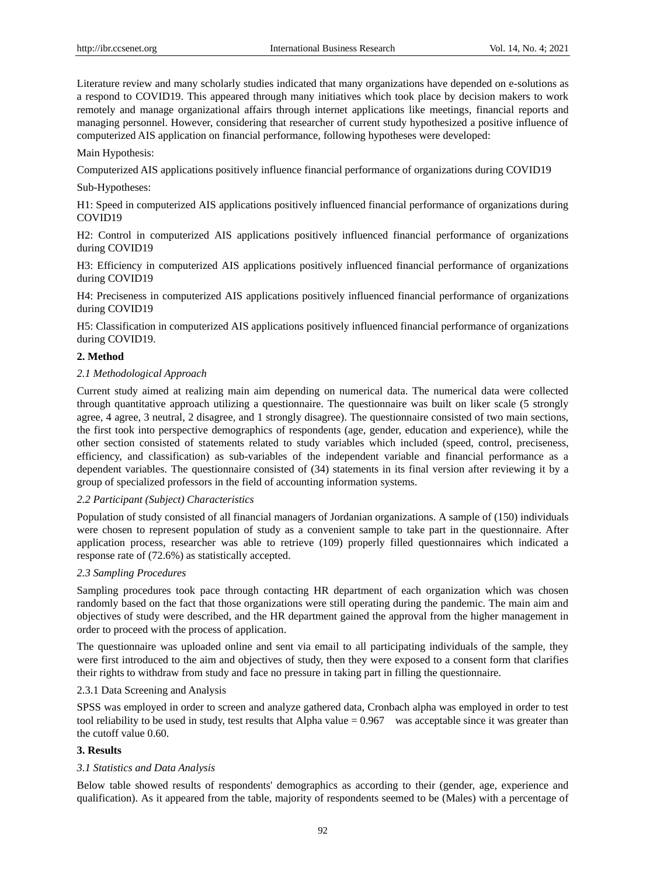Literature review and many scholarly studies indicated that many organizations have depended on e-solutions as a respond to COVID19. This appeared through many initiatives which took place by decision makers to work remotely and manage organizational affairs through internet applications like meetings, financial reports and managing personnel. However, considering that researcher of current study hypothesized a positive influence of computerized AIS application on financial performance, following hypotheses were developed:

# Main Hypothesis:

Computerized AIS applications positively influence financial performance of organizations during COVID19

# Sub-Hypotheses:

H1: Speed in computerized AIS applications positively influenced financial performance of organizations during COVID19

H2: Control in computerized AIS applications positively influenced financial performance of organizations during COVID19

H3: Efficiency in computerized AIS applications positively influenced financial performance of organizations during COVID19

H4: Preciseness in computerized AIS applications positively influenced financial performance of organizations during COVID19

H5: Classification in computerized AIS applications positively influenced financial performance of organizations during COVID19.

# **2. Method**

# *2.1 Methodological Approach*

Current study aimed at realizing main aim depending on numerical data. The numerical data were collected through quantitative approach utilizing a questionnaire. The questionnaire was built on liker scale (5 strongly agree, 4 agree, 3 neutral, 2 disagree, and 1 strongly disagree). The questionnaire consisted of two main sections, the first took into perspective demographics of respondents (age, gender, education and experience), while the other section consisted of statements related to study variables which included (speed, control, preciseness, efficiency, and classification) as sub-variables of the independent variable and financial performance as a dependent variables. The questionnaire consisted of (34) statements in its final version after reviewing it by a group of specialized professors in the field of accounting information systems.

### *2.2 Participant (Subject) Characteristics*

Population of study consisted of all financial managers of Jordanian organizations. A sample of (150) individuals were chosen to represent population of study as a convenient sample to take part in the questionnaire. After application process, researcher was able to retrieve (109) properly filled questionnaires which indicated a response rate of (72.6%) as statistically accepted.

### *2.3 Sampling Procedures*

Sampling procedures took pace through contacting HR department of each organization which was chosen randomly based on the fact that those organizations were still operating during the pandemic. The main aim and objectives of study were described, and the HR department gained the approval from the higher management in order to proceed with the process of application.

The questionnaire was uploaded online and sent via email to all participating individuals of the sample, they were first introduced to the aim and objectives of study, then they were exposed to a consent form that clarifies their rights to withdraw from study and face no pressure in taking part in filling the questionnaire.

### 2.3.1 Data Screening and Analysis

SPSS was employed in order to screen and analyze gathered data, Cronbach alpha was employed in order to test tool reliability to be used in study, test results that Alpha value = 0.967 was acceptable since it was greater than the cutoff value 0.60.

# **3. Results**

# *3.1 Statistics and Data Analysis*

Below table showed results of respondents' demographics as according to their (gender, age, experience and qualification). As it appeared from the table, majority of respondents seemed to be (Males) with a percentage of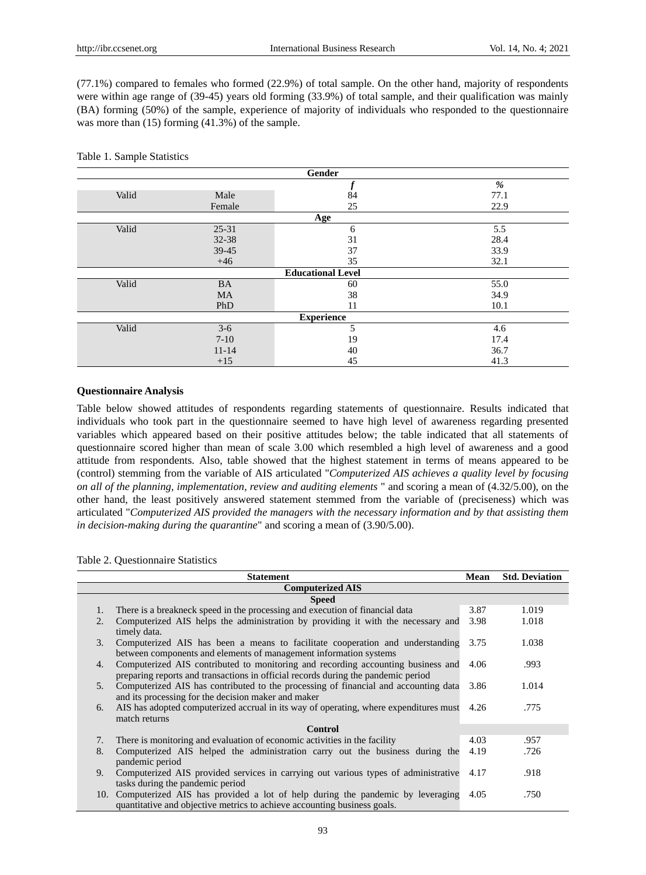(77.1%) compared to females who formed (22.9%) of total sample. On the other hand, majority of respondents were within age range of (39-45) years old forming (33.9%) of total sample, and their qualification was mainly (BA) forming (50%) of the sample, experience of majority of individuals who responded to the questionnaire was more than (15) forming (41.3%) of the sample.

### Table 1. Sample Statistics

| Gender            |           |                          |      |  |  |
|-------------------|-----------|--------------------------|------|--|--|
|                   |           |                          | %    |  |  |
| Valid             | Male      | 84                       | 77.1 |  |  |
|                   | Female    | 25                       | 22.9 |  |  |
|                   |           | Age                      |      |  |  |
| Valid             | $25 - 31$ | 6                        | 5.5  |  |  |
|                   | 32-38     | 31                       | 28.4 |  |  |
|                   | 39-45     | 37                       | 33.9 |  |  |
|                   | $+46$     | 35                       | 32.1 |  |  |
|                   |           | <b>Educational Level</b> |      |  |  |
| Valid             | <b>BA</b> | 60                       | 55.0 |  |  |
|                   | <b>MA</b> | 38                       | 34.9 |  |  |
|                   | PhD       | 11                       | 10.1 |  |  |
| <b>Experience</b> |           |                          |      |  |  |
| Valid             | $3-6$     | 5                        | 4.6  |  |  |
|                   | $7-10$    | 19                       | 17.4 |  |  |
|                   | $11 - 14$ | 40                       | 36.7 |  |  |
|                   | $+15$     | 45                       | 41.3 |  |  |

### **Questionnaire Analysis**

Table below showed attitudes of respondents regarding statements of questionnaire. Results indicated that individuals who took part in the questionnaire seemed to have high level of awareness regarding presented variables which appeared based on their positive attitudes below; the table indicated that all statements of questionnaire scored higher than mean of scale 3.00 which resembled a high level of awareness and a good attitude from respondents. Also, table showed that the highest statement in terms of means appeared to be (control) stemming from the variable of AIS articulated "*Computerized AIS achieves a quality level by focusing on all of the planning, implementation, review and auditing elements* " and scoring a mean of (4.32/5.00), on the other hand, the least positively answered statement stemmed from the variable of (preciseness) which was articulated "*Computerized AIS provided the managers with the necessary information and by that assisting them in decision-making during the quarantine*" and scoring a mean of (3.90/5.00).

### Table 2. Questionnaire Statistics

|                | <b>Statement</b>                                                                                                                                                      | Mean | <b>Std. Deviation</b> |  |  |  |  |  |
|----------------|-----------------------------------------------------------------------------------------------------------------------------------------------------------------------|------|-----------------------|--|--|--|--|--|
|                | <b>Computerized AIS</b>                                                                                                                                               |      |                       |  |  |  |  |  |
|                | <b>Speed</b>                                                                                                                                                          |      |                       |  |  |  |  |  |
| 1.             | There is a breakneck speed in the processing and execution of financial data                                                                                          | 3.87 | 1.019                 |  |  |  |  |  |
| 2.             | Computerized AIS helps the administration by providing it with the necessary and<br>timely data.                                                                      | 3.98 | 1.018                 |  |  |  |  |  |
| 3.             | Computerized AIS has been a means to facilitate cooperation and understanding<br>between components and elements of management information systems                    | 3.75 | 1.038                 |  |  |  |  |  |
| 4.             | Computerized AIS contributed to monitoring and recording accounting business and<br>preparing reports and transactions in official records during the pandemic period | 4.06 | .993                  |  |  |  |  |  |
| 5 <sub>1</sub> | Computerized AIS has contributed to the processing of financial and accounting data<br>and its processing for the decision maker and maker                            | 3.86 | 1.014                 |  |  |  |  |  |
| 6.             | AIS has adopted computerized accrual in its way of operating, where expenditures must<br>match returns                                                                | 4.26 | .775                  |  |  |  |  |  |
|                | Control                                                                                                                                                               |      |                       |  |  |  |  |  |
| 7.             | There is monitoring and evaluation of economic activities in the facility                                                                                             | 4.03 | .957                  |  |  |  |  |  |
| 8.             | Computerized AIS helped the administration carry out the business during the<br>pandemic period                                                                       | 4.19 | .726                  |  |  |  |  |  |
| 9.             | Computerized AIS provided services in carrying out various types of administrative<br>tasks during the pandemic period                                                | 4.17 | .918                  |  |  |  |  |  |
|                | 10. Computerized AIS has provided a lot of help during the pandemic by leveraging<br>quantitative and objective metrics to achieve accounting business goals.         | 4.05 | .750                  |  |  |  |  |  |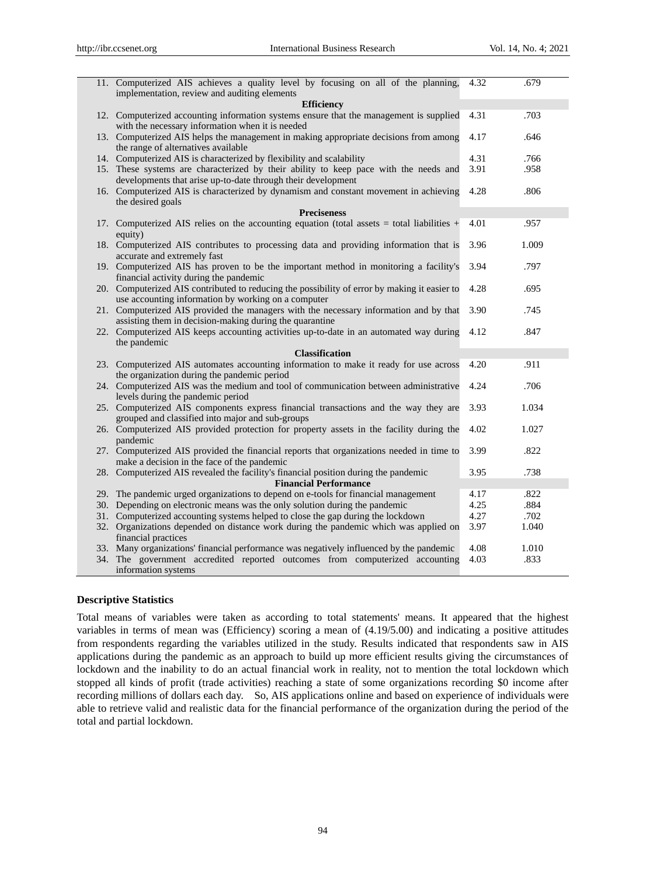| 11. Computerized AIS achieves a quality level by focusing on all of the planning,                                                                    | 4.32 | .679  |
|------------------------------------------------------------------------------------------------------------------------------------------------------|------|-------|
| implementation, review and auditing elements<br><b>Efficiency</b>                                                                                    |      |       |
| 12. Computerized accounting information systems ensure that the management is supplied<br>with the necessary information when it is needed           | 4.31 | .703  |
| 13. Computerized AIS helps the management in making appropriate decisions from among<br>the range of alternatives available                          | 4.17 | .646  |
| 14. Computerized AIS is characterized by flexibility and scalability                                                                                 | 4.31 | .766  |
| 15. These systems are characterized by their ability to keep pace with the needs and<br>developments that arise up-to-date through their development | 3.91 | .958  |
| 16. Computerized AIS is characterized by dynamism and constant movement in achieving<br>the desired goals                                            | 4.28 | .806  |
| <b>Preciseness</b>                                                                                                                                   |      |       |
| 17. Computerized AIS relies on the accounting equation (total assets $=$ total liabilities $+$<br>equity)                                            | 4.01 | .957  |
| 18. Computerized AIS contributes to processing data and providing information that is<br>accurate and extremely fast                                 | 3.96 | 1.009 |
| 19. Computerized AIS has proven to be the important method in monitoring a facility's<br>financial activity during the pandemic                      | 3.94 | .797  |
| 20. Computerized AIS contributed to reducing the possibility of error by making it easier to<br>use accounting information by working on a computer  | 4.28 | .695  |
| 21. Computerized AIS provided the managers with the necessary information and by that<br>assisting them in decision-making during the quarantine     | 3.90 | .745  |
| 22. Computerized AIS keeps accounting activities up-to-date in an automated way during<br>the pandemic                                               | 4.12 | .847  |
| <b>Classification</b>                                                                                                                                |      |       |
| 23. Computerized AIS automates accounting information to make it ready for use across<br>the organization during the pandemic period                 | 4.20 | .911  |
| 24. Computerized AIS was the medium and tool of communication between administrative<br>levels during the pandemic period                            | 4.24 | .706  |
| 25. Computerized AIS components express financial transactions and the way they are<br>grouped and classified into major and sub-groups              | 3.93 | 1.034 |
| 26. Computerized AIS provided protection for property assets in the facility during the<br>pandemic                                                  | 4.02 | 1.027 |
| 27. Computerized AIS provided the financial reports that organizations needed in time to<br>make a decision in the face of the pandemic              | 3.99 | .822  |
| 28. Computerized AIS revealed the facility's financial position during the pandemic<br><b>Financial Performance</b>                                  | 3.95 | .738  |
| 29. The pandemic urged organizations to depend on e-tools for financial management                                                                   | 4.17 | .822  |
| 30. Depending on electronic means was the only solution during the pandemic                                                                          | 4.25 | .884  |
| 31. Computerized accounting systems helped to close the gap during the lockdown                                                                      | 4.27 | .702  |
| 32. Organizations depended on distance work during the pandemic which was applied on<br>financial practices                                          | 3.97 | 1.040 |
| 33. Many organizations' financial performance was negatively influenced by the pandemic                                                              | 4.08 | 1.010 |
| 34. The government accredited reported outcomes from computerized accounting<br>information systems                                                  | 4.03 | .833  |

### **Descriptive Statistics**

Total means of variables were taken as according to total statements' means. It appeared that the highest variables in terms of mean was (Efficiency) scoring a mean of (4.19/5.00) and indicating a positive attitudes from respondents regarding the variables utilized in the study. Results indicated that respondents saw in AIS applications during the pandemic as an approach to build up more efficient results giving the circumstances of lockdown and the inability to do an actual financial work in reality, not to mention the total lockdown which stopped all kinds of profit (trade activities) reaching a state of some organizations recording \$0 income after recording millions of dollars each day. So, AIS applications online and based on experience of individuals were able to retrieve valid and realistic data for the financial performance of the organization during the period of the total and partial lockdown.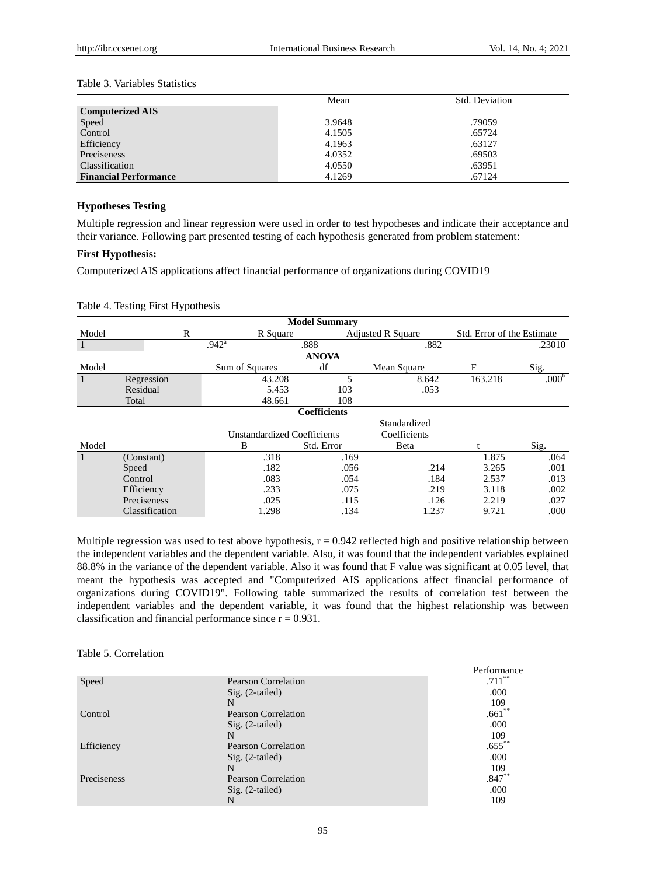# Table 3. Variables Statistics

|                              | Mean   | Std. Deviation |
|------------------------------|--------|----------------|
| <b>Computerized AIS</b>      |        |                |
| Speed                        | 3.9648 | .79059         |
| Control                      | 4.1505 | .65724         |
| Efficiency                   | 4.1963 | .63127         |
| Preciseness                  | 4.0352 | .69503         |
| Classification               | 4.0550 | .63951         |
| <b>Financial Performance</b> | 4.1269 | .67124         |

### **Hypotheses Testing**

Multiple regression and linear regression were used in order to test hypotheses and indicate their acceptance and their variance. Following part presented testing of each hypothesis generated from problem statement:

### **First Hypothesis:**

Computerized AIS applications affect financial performance of organizations during COVID19

### Table 4. Testing First Hypothesis

| <b>Model Summary</b>                               |                |                |                     |                          |         |                            |  |
|----------------------------------------------------|----------------|----------------|---------------------|--------------------------|---------|----------------------------|--|
| Model                                              | $\mathbb{R}$   | R Square       |                     | <b>Adjusted R Square</b> |         | Std. Error of the Estimate |  |
|                                                    |                | $.942^{\rm a}$ | .888                | .882                     |         | .23010                     |  |
|                                                    |                |                | <b>ANOVA</b>        |                          |         |                            |  |
| Model                                              |                | Sum of Squares | df                  | Mean Square              | F       | Sig.                       |  |
|                                                    | Regression     | 43.208         | 5                   | 8.642                    | 163.218 | .000 <sup>b</sup>          |  |
|                                                    | Residual       | 5.453          | 103                 | .053                     |         |                            |  |
|                                                    | Total          | 48.661         | 108                 |                          |         |                            |  |
|                                                    |                |                | <b>Coefficients</b> |                          |         |                            |  |
|                                                    |                |                |                     | Standardized             |         |                            |  |
| Coefficients<br><b>Unstandardized Coefficients</b> |                |                |                     |                          |         |                            |  |
| Model                                              |                | B              | Std. Error          | Beta                     |         | Sig.                       |  |
| $\mathbf{1}$                                       | (Constant)     | .318           | .169                |                          | 1.875   | .064                       |  |
|                                                    | Speed          | .182           | .056                | .214                     | 3.265   | .001                       |  |
|                                                    | Control        | .083           | .054                | .184                     | 2.537   | .013                       |  |
|                                                    | Efficiency     | .233           | .075                | .219                     | 3.118   | .002                       |  |
|                                                    | Preciseness    | .025           | .115                | .126                     | 2.219   | .027                       |  |
|                                                    | Classification | 1.298          | .134                | 1.237                    | 9.721   | .000                       |  |

Multiple regression was used to test above hypothesis,  $r = 0.942$  reflected high and positive relationship between the independent variables and the dependent variable. Also, it was found that the independent variables explained 88.8% in the variance of the dependent variable. Also it was found that F value was significant at 0.05 level, that meant the hypothesis was accepted and "Computerized AIS applications affect financial performance of organizations during COVID19". Following table summarized the results of correlation test between the independent variables and the dependent variable, it was found that the highest relationship was between classification and financial performance since  $r = 0.931$ .

### Table 5. Correlation

|             |                            | Performance |
|-------------|----------------------------|-------------|
| Speed       | <b>Pearson Correlation</b> | $.711***$   |
|             | $Sig. (2-tailed)$          | .000        |
|             | N                          | 109         |
| Control     | <b>Pearson Correlation</b> | $.661**$    |
|             | $Sig. (2-tailed)$          | .000        |
|             | N                          | 109         |
| Efficiency  | <b>Pearson Correlation</b> | $.655***$   |
|             | $Sig. (2-tailed)$          | .000        |
|             | N                          | 109         |
| Preciseness | <b>Pearson Correlation</b> | $.847**$    |
|             | $Sig. (2-tailed)$          | .000        |
|             | N                          | 109         |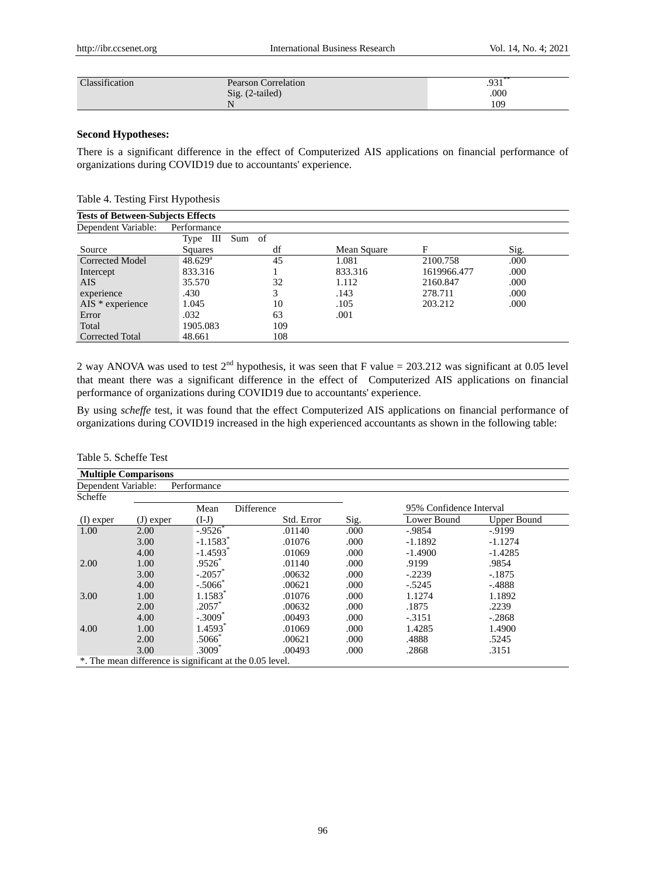| Classification | Pearson Correlation | $.931***$ |
|----------------|---------------------|-----------|
|                | Sig. (2-tailed)     | .000      |
|                |                     | 109       |

# **Second Hypotheses:**

There is a significant difference in the effect of Computerized AIS applications on financial performance of organizations during COVID19 due to accountants' experience.

| Table 4. Testing First Hypothesis |  |  |  |  |
|-----------------------------------|--|--|--|--|
|-----------------------------------|--|--|--|--|

| <b>Tests of Between-Subjects Effects</b> |                  |        |             |             |      |
|------------------------------------------|------------------|--------|-------------|-------------|------|
| Dependent Variable:                      | Performance      |        |             |             |      |
|                                          | Type III         | Sum of |             |             |      |
| Source                                   | <b>Squares</b>   | df     | Mean Square | F           | Sig. |
| <b>Corrected Model</b>                   | $48.629^{\rm a}$ | 45     | 1.081       | 2100.758    | .000 |
| Intercept                                | 833.316          |        | 833.316     | 1619966.477 | .000 |
| AIS.                                     | 35.570           | 32     | 1.112       | 2160.847    | .000 |
| experience                               | .430             | 3      | .143        | 278.711     | .000 |
| $AIS * experience$                       | 1.045            | 10     | .105        | 203.212     | .000 |
| Error                                    | .032             | 63     | .001        |             |      |
| Total                                    | 1905.083         | 109    |             |             |      |
| Corrected Total                          | 48.661           | 108    |             |             |      |

2 way ANOVA was used to test  $2<sup>nd</sup>$  hypothesis, it was seen that F value = 203.212 was significant at 0.05 level that meant there was a significant difference in the effect of Computerized AIS applications on financial performance of organizations during COVID19 due to accountants' experience.

By using *scheffe* test, it was found that the effect Computerized AIS applications on financial performance of organizations during COVID19 increased in the high experienced accountants as shown in the following table:

| <b>Multiple Comparisons</b> |             |                                                          |            |      |                         |                    |
|-----------------------------|-------------|----------------------------------------------------------|------------|------|-------------------------|--------------------|
| Dependent Variable:         |             | Performance                                              |            |      |                         |                    |
| Scheffe                     |             |                                                          |            |      |                         |                    |
|                             |             | Difference<br>Mean                                       |            |      | 95% Confidence Interval |                    |
| $(I)$ exper                 | $(J)$ exper | $(I-J)$                                                  | Std. Error | Sig. | Lower Bound             | <b>Upper Bound</b> |
| 1.00                        | 2.00        | $-0.9526$                                                | .01140     | .000 | $-0.9854$               | $-9199$            |
|                             | 3.00        | $-1.1583$ <sup>*</sup>                                   | .01076     | .000 | $-1.1892$               | $-1.1274$          |
|                             | 4.00        | $-1.4593$ <sup>*</sup>                                   | .01069     | .000 | $-1.4900$               | $-1.4285$          |
| 2.00                        | 1.00        | $.9526*$                                                 | .01140     | .000 | .9199                   | .9854              |
|                             | 3.00        | $-.2057$                                                 | .00632     | .000 | $-.2239$                | $-.1875$           |
|                             | 4.00        | $-.5066*$                                                | .00621     | .000 | $-.5245$                | $-4888$            |
| 3.00                        | 1.00        | 1.1583*                                                  | .01076     | .000 | 1.1274                  | 1.1892             |
|                             | 2.00        | $.2057*$                                                 | .00632     | .000 | .1875                   | .2239              |
|                             | 4.00        | $-.3009*$                                                | .00493     | .000 | $-.3151$                | $-.2868$           |
| 4.00                        | 1.00        | 1.4593*                                                  | .01069     | .000 | 1.4285                  | 1.4900             |
|                             | 2.00        | $.5066^*$                                                | .00621     | .000 | .4888                   | .5245              |
|                             | 3.00        | $.3009*$                                                 | .00493     | .000 | .2868                   | .3151              |
|                             |             | *. The mean difference is significant at the 0.05 level. |            |      |                         |                    |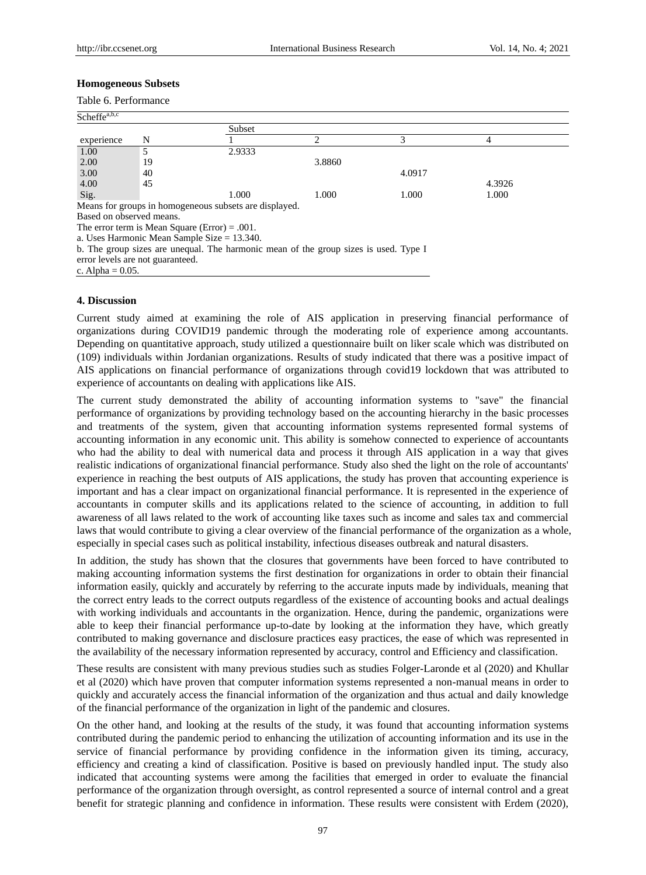### **Homogeneous Subsets**

| Table 6. Performance<br>Scheffe <sup>a,b,c</sup> |    |                                                                                      |        |        |        |  |
|--------------------------------------------------|----|--------------------------------------------------------------------------------------|--------|--------|--------|--|
|                                                  |    |                                                                                      |        |        |        |  |
| experience                                       | N  |                                                                                      | 2      | 3      | 4      |  |
| 1.00                                             | 5  | 2.9333                                                                               |        |        |        |  |
| 2.00                                             | 19 |                                                                                      | 3.8860 |        |        |  |
| 3.00                                             | 40 |                                                                                      |        | 4.0917 |        |  |
| 4.00                                             | 45 |                                                                                      |        |        | 4.3926 |  |
| Sig.                                             |    | 1.000                                                                                | 1.000  | 1.000  | 1.000  |  |
|                                                  |    | Means for groups in homogeneous subsets are displayed.                               |        |        |        |  |
| Based on observed means.                         |    |                                                                                      |        |        |        |  |
|                                                  |    | The error term is Mean Square (Error) = .001.                                        |        |        |        |  |
|                                                  |    | a. Uses Harmonic Mean Sample Size $= 13.340$ .                                       |        |        |        |  |
|                                                  |    | b. The group sizes are unequal. The harmonic mean of the group sizes is used. Type I |        |        |        |  |
| error levels are not guaranteed.                 |    |                                                                                      |        |        |        |  |
| c. Alpha = $0.05$ .                              |    |                                                                                      |        |        |        |  |

### **4. Discussion**

Current study aimed at examining the role of AIS application in preserving financial performance of organizations during COVID19 pandemic through the moderating role of experience among accountants. Depending on quantitative approach, study utilized a questionnaire built on liker scale which was distributed on (109) individuals within Jordanian organizations. Results of study indicated that there was a positive impact of AIS applications on financial performance of organizations through covid19 lockdown that was attributed to experience of accountants on dealing with applications like AIS.

The current study demonstrated the ability of accounting information systems to "save" the financial performance of organizations by providing technology based on the accounting hierarchy in the basic processes and treatments of the system, given that accounting information systems represented formal systems of accounting information in any economic unit. This ability is somehow connected to experience of accountants who had the ability to deal with numerical data and process it through AIS application in a way that gives realistic indications of organizational financial performance. Study also shed the light on the role of accountants' experience in reaching the best outputs of AIS applications, the study has proven that accounting experience is important and has a clear impact on organizational financial performance. It is represented in the experience of accountants in computer skills and its applications related to the science of accounting, in addition to full awareness of all laws related to the work of accounting like taxes such as income and sales tax and commercial laws that would contribute to giving a clear overview of the financial performance of the organization as a whole, especially in special cases such as political instability, infectious diseases outbreak and natural disasters.

In addition, the study has shown that the closures that governments have been forced to have contributed to making accounting information systems the first destination for organizations in order to obtain their financial information easily, quickly and accurately by referring to the accurate inputs made by individuals, meaning that the correct entry leads to the correct outputs regardless of the existence of accounting books and actual dealings with working individuals and accountants in the organization. Hence, during the pandemic, organizations were able to keep their financial performance up-to-date by looking at the information they have, which greatly contributed to making governance and disclosure practices easy practices, the ease of which was represented in the availability of the necessary information represented by accuracy, control and Efficiency and classification.

These results are consistent with many previous studies such as studies Folger-Laronde et al (2020) and Khullar et al (2020) which have proven that computer information systems represented a non-manual means in order to quickly and accurately access the financial information of the organization and thus actual and daily knowledge of the financial performance of the organization in light of the pandemic and closures.

On the other hand, and looking at the results of the study, it was found that accounting information systems contributed during the pandemic period to enhancing the utilization of accounting information and its use in the service of financial performance by providing confidence in the information given its timing, accuracy, efficiency and creating a kind of classification. Positive is based on previously handled input. The study also indicated that accounting systems were among the facilities that emerged in order to evaluate the financial performance of the organization through oversight, as control represented a source of internal control and a great benefit for strategic planning and confidence in information. These results were consistent with Erdem (2020),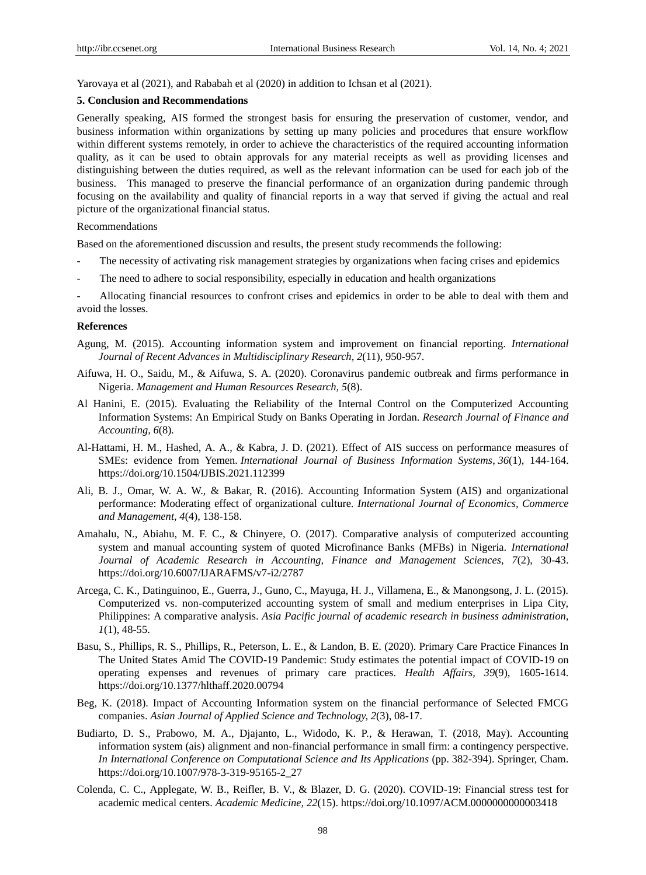Yarovaya et al (2021), and Rababah et al (2020) in addition to Ichsan et al (2021).

### **5. Conclusion and Recommendations**

Generally speaking, AIS formed the strongest basis for ensuring the preservation of customer, vendor, and business information within organizations by setting up many policies and procedures that ensure workflow within different systems remotely, in order to achieve the characteristics of the required accounting information quality, as it can be used to obtain approvals for any material receipts as well as providing licenses and distinguishing between the duties required, as well as the relevant information can be used for each job of the business. This managed to preserve the financial performance of an organization during pandemic through focusing on the availability and quality of financial reports in a way that served if giving the actual and real picture of the organizational financial status.

#### Recommendations

Based on the aforementioned discussion and results, the present study recommends the following:

- The necessity of activating risk management strategies by organizations when facing crises and epidemics
- The need to adhere to social responsibility, especially in education and health organizations

- Allocating financial resources to confront crises and epidemics in order to be able to deal with them and avoid the losses.

#### **References**

- Agung, M. (2015). Accounting information system and improvement on financial reporting. *International Journal of Recent Advances in Multidisciplinary Research, 2*(11), 950-957.
- Aifuwa, H. O., Saidu, M., & Aifuwa, S. A. (2020). Coronavirus pandemic outbreak and firms performance in Nigeria. *Management and Human Resources Research, 5*(8).
- Al Hanini, E. (2015). Evaluating the Reliability of the Internal Control on the Computerized Accounting Information Systems: An Empirical Study on Banks Operating in Jordan. *Research Journal of Finance and Accounting, 6*(8)*.*
- Al-Hattami, H. M., Hashed, A. A., & Kabra, J. D. (2021). Effect of AIS success on performance measures of SMEs: evidence from Yemen. *International Journal of Business Information Systems*, *36*(1), 144-164. https://doi.org/10.1504/IJBIS.2021.112399
- Ali, B. J., Omar, W. A. W., & Bakar, R. (2016). Accounting Information System (AIS) and organizational performance: Moderating effect of organizational culture. *International Journal of Economics, Commerce and Management, 4*(4), 138-158.
- Amahalu, N., Abiahu, M. F. C., & Chinyere, O. (2017). Comparative analysis of computerized accounting system and manual accounting system of quoted Microfinance Banks (MFBs) in Nigeria. *International Journal of Academic Research in Accounting, Finance and Management Sciences, 7*(2), 30-43. https://doi.org/10.6007/IJARAFMS/v7-i2/2787
- Arcega, C. K., Datinguinoo, E., Guerra, J., Guno, C., Mayuga, H. J., Villamena, E., & Manongsong, J. L. (2015). Computerized vs. non-computerized accounting system of small and medium enterprises in Lipa City, Philippines: A comparative analysis. *Asia Pacific journal of academic research in business administration, 1*(1), 48-55.
- Basu, S., Phillips, R. S., Phillips, R., Peterson, L. E., & Landon, B. E. (2020). Primary Care Practice Finances In The United States Amid The COVID-19 Pandemic: Study estimates the potential impact of COVID-19 on operating expenses and revenues of primary care practices. *Health Affairs, 39*(9), 1605-1614. https://doi.org/10.1377/hlthaff.2020.00794
- Beg, K. (2018). Impact of Accounting Information system on the financial performance of Selected FMCG companies. *Asian Journal of Applied Science and Technology, 2*(3), 08-17.
- Budiarto, D. S., Prabowo, M. A., Djajanto, L., Widodo, K. P., & Herawan, T. (2018, May). Accounting information system (ais) alignment and non-financial performance in small firm: a contingency perspective. *In International Conference on Computational Science and Its Applications* (pp. 382-394). Springer, Cham. https://doi.org/10.1007/978-3-319-95165-2\_27
- Colenda, C. C., Applegate, W. B., Reifler, B. V., & Blazer, D. G. (2020). COVID-19: Financial stress test for academic medical centers. *Academic Medicine, 22*(15). https://doi.org/10.1097/ACM.0000000000003418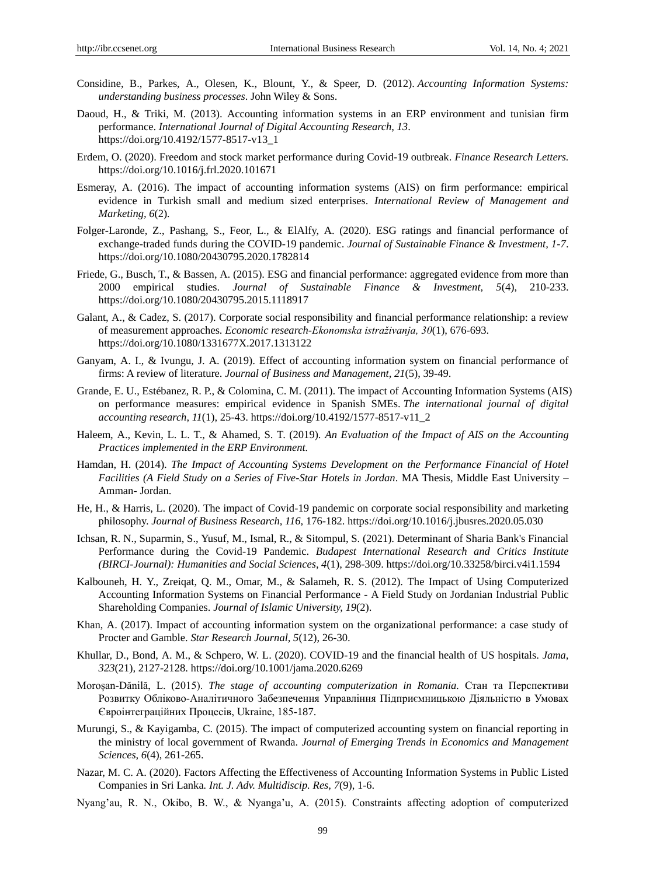- Considine, B., Parkes, A., Olesen, K., Blount, Y., & Speer, D. (2012). *Accounting Information Systems: understanding business processes*. John Wiley & Sons.
- Daoud, H., & Triki, M. (2013). Accounting information systems in an ERP environment and tunisian firm performance. *International Journal of Digital Accounting Research*, *13*. https://doi.org/10.4192/1577-8517-v13\_1
- Erdem, O. (2020). Freedom and stock market performance during Covid-19 outbreak. *Finance Research Letters.* https://doi.org/10.1016/j.frl.2020.101671
- Esmeray, A. (2016). The impact of accounting information systems (AIS) on firm performance: empirical evidence in Turkish small and medium sized enterprises. *International Review of Management and Marketing, 6*(2)*.*
- Folger-Laronde, Z., Pashang, S., Feor, L., & ElAlfy, A. (2020). ESG ratings and financial performance of exchange-traded funds during the COVID-19 pandemic. *Journal of Sustainable Finance & Investment, 1-7*. https://doi.org/10.1080/20430795.2020.1782814
- Friede, G., Busch, T., & Bassen, A. (2015). ESG and financial performance: aggregated evidence from more than 2000 empirical studies. *Journal of Sustainable Finance & Investment, 5*(4), 210-233. https://doi.org/10.1080/20430795.2015.1118917
- Galant, A., & Cadez, S. (2017). Corporate social responsibility and financial performance relationship: a review of measurement approaches. *Economic research-Ekonomska istraživanja, 30*(1), 676-693. https://doi.org/10.1080/1331677X.2017.1313122
- Ganyam, A. I., & Ivungu, J. A. (2019). Effect of accounting information system on financial performance of firms: A review of literature. *Journal of Business and Management, 21*(5), 39-49.
- Grande, E. U., Estébanez, R. P., & Colomina, C. M. (2011). The impact of Accounting Information Systems (AIS) on performance measures: empirical evidence in Spanish SMEs. *The international journal of digital accounting research*, *11*(1), 25-43. https://doi.org/10.4192/1577-8517-v11\_2
- Haleem, A., Kevin, L. L. T., & Ahamed, S. T. (2019). *An Evaluation of the Impact of AIS on the Accounting Practices implemented in the ERP Environment.*
- Hamdan, H. (2014). *The Impact of Accounting Systems Development on the Performance Financial of Hotel Facilities (A Field Study on a Series of Five-Star Hotels in Jordan*. MA Thesis, Middle East University – Amman- Jordan.
- He, H., & Harris, L. (2020). The impact of Covid-19 pandemic on corporate social responsibility and marketing philosophy. *Journal of Business Research, 116,* 176-182. https://doi.org/10.1016/j.jbusres.2020.05.030
- Ichsan, R. N., Suparmin, S., Yusuf, M., Ismal, R., & Sitompul, S. (2021). Determinant of Sharia Bank's Financial Performance during the Covid-19 Pandemic. *Budapest International Research and Critics Institute (BIRCI-Journal): Humanities and Social Sciences, 4*(1), 298-309. https://doi.org/10.33258/birci.v4i1.1594
- Kalbouneh, H. Y., Zreiqat, Q. M., Omar, M., & Salameh, R. S. (2012). The Impact of Using Computerized Accounting Information Systems on Financial Performance - A Field Study on Jordanian Industrial Public Shareholding Companies. *Journal of Islamic University, 19*(2).
- Khan, A. (2017). Impact of accounting information system on the organizational performance: a case study of Procter and Gamble. *Star Research Journal, 5*(12), 26-30.
- Khullar, D., Bond, A. M., & Schpero, W. L. (2020). COVID-19 and the financial health of US hospitals. *Jama, 323*(21)*,* 2127-2128. https://doi.org/10.1001/jama.2020.6269
- Moroșan-Dănilă, L. (2015). *The stage of accounting computerization in Romania.* Стан та Перспективи Розвитку Обліково-Аналітичного Забезпечення Управління Підприємницькою Діяльністю в Умовах Євроінтеграційних Процесів, Ukraine, 185-187.
- Murungi, S., & Kayigamba, C. (2015). The impact of computerized accounting system on financial reporting in the ministry of local government of Rwanda. *Journal of Emerging Trends in Economics and Management Sciences, 6*(4), 261-265.
- Nazar, M. C. A. (2020). Factors Affecting the Effectiveness of Accounting Information Systems in Public Listed Companies in Sri Lanka*. Int. J. Adv. Multidiscip. Res, 7*(9), 1-6.
- Nyang'au, R. N., Okibo, B. W., & Nyanga'u, A. (2015). Constraints affecting adoption of computerized